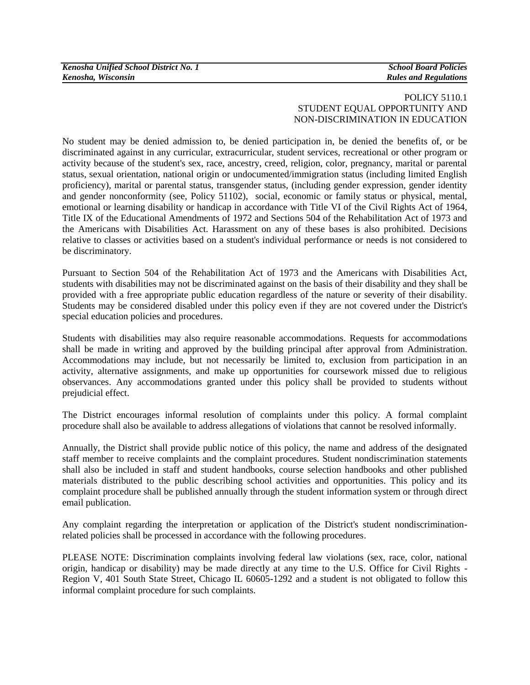### POLICY 5110.1 STUDENT EQUAL OPPORTUNITY AND NON-DISCRIMINATION IN EDUCATION

No student may be denied admission to, be denied participation in, be denied the benefits of, or be discriminated against in any curricular, extracurricular, student services, recreational or other program or activity because of the student's sex, race, ancestry, creed, religion, color, pregnancy, marital or parental status, sexual orientation, national origin or undocumented/immigration status (including limited English proficiency), marital or parental status, transgender status, (including gender expression, gender identity and gender nonconformity (see, Policy 51102), social, economic or family status or physical, mental, emotional or learning disability or handicap in accordance with Title VI of the Civil Rights Act of 1964, Title IX of the Educational Amendments of 1972 and Sections 504 of the Rehabilitation Act of 1973 and the Americans with Disabilities Act. Harassment on any of these bases is also prohibited. Decisions relative to classes or activities based on a student's individual performance or needs is not considered to be discriminatory.

Pursuant to Section 504 of the Rehabilitation Act of 1973 and the Americans with Disabilities Act, students with disabilities may not be discriminated against on the basis of their disability and they shall be provided with a free appropriate public education regardless of the nature or severity of their disability. Students may be considered disabled under this policy even if they are not covered under the District's special education policies and procedures.

Students with disabilities may also require reasonable accommodations. Requests for accommodations shall be made in writing and approved by the building principal after approval from Administration. Accommodations may include, but not necessarily be limited to, exclusion from participation in an activity, alternative assignments, and make up opportunities for coursework missed due to religious observances. Any accommodations granted under this policy shall be provided to students without prejudicial effect.

The District encourages informal resolution of complaints under this policy. A formal complaint procedure shall also be available to address allegations of violations that cannot be resolved informally.

Annually, the District shall provide public notice of this policy, the name and address of the designated staff member to receive complaints and the complaint procedures. Student nondiscrimination statements shall also be included in staff and student handbooks, course selection handbooks and other published materials distributed to the public describing school activities and opportunities. This policy and its complaint procedure shall be published annually through the student information system or through direct email publication.

Any complaint regarding the interpretation or application of the District's student nondiscriminationrelated policies shall be processed in accordance with the following procedures.

PLEASE NOTE: Discrimination complaints involving federal law violations (sex, race, color, national origin, handicap or disability) may be made directly at any time to the U.S. Office for Civil Rights - Region V, 401 South State Street, Chicago IL 60605-1292 and a student is not obligated to follow this informal complaint procedure for such complaints.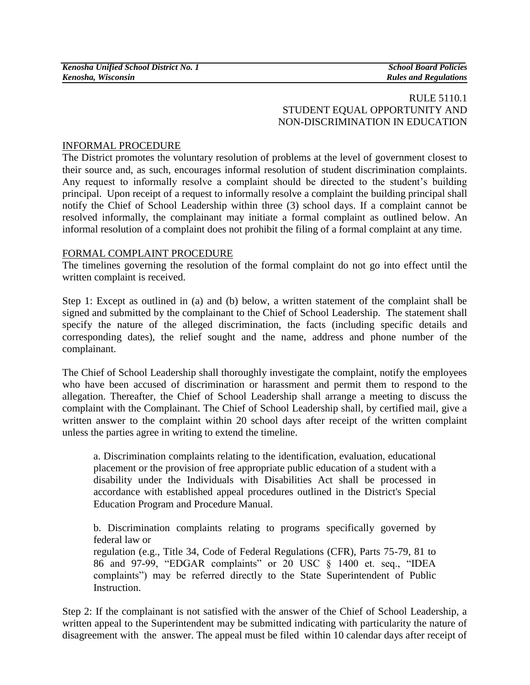## RULE 5110.1 STUDENT EQUAL OPPORTUNITY AND NON-DISCRIMINATION IN EDUCATION

# INFORMAL PROCEDURE

The District promotes the voluntary resolution of problems at the level of government closest to their source and, as such, encourages informal resolution of student discrimination complaints. Any request to informally resolve a complaint should be directed to the student's building principal. Upon receipt of a request to informally resolve a complaint the building principal shall notify the Chief of School Leadership within three (3) school days. If a complaint cannot be resolved informally, the complainant may initiate a formal complaint as outlined below. An informal resolution of a complaint does not prohibit the filing of a formal complaint at any time.

## FORMAL COMPLAINT PROCEDURE

The timelines governing the resolution of the formal complaint do not go into effect until the written complaint is received.

Step 1: Except as outlined in (a) and (b) below, a written statement of the complaint shall be signed and submitted by the complainant to the Chief of School Leadership. The statement shall specify the nature of the alleged discrimination, the facts (including specific details and corresponding dates), the relief sought and the name, address and phone number of the complainant.

The Chief of School Leadership shall thoroughly investigate the complaint, notify the employees who have been accused of discrimination or harassment and permit them to respond to the allegation. Thereafter, the Chief of School Leadership shall arrange a meeting to discuss the complaint with the Complainant. The Chief of School Leadership shall, by certified mail, give a written answer to the complaint within 20 school days after receipt of the written complaint unless the parties agree in writing to extend the timeline.

a. Discrimination complaints relating to the identification, evaluation, educational placement or the provision of free appropriate public education of a student with a disability under the Individuals with Disabilities Act shall be processed in accordance with established appeal procedures outlined in the District's Special Education Program and Procedure Manual.

b. Discrimination complaints relating to programs specifically governed by federal law or

regulation (e.g., Title 34, Code of Federal Regulations (CFR), Parts 75-79, 81 to 86 and 97-99, "EDGAR complaints" or 20 USC § 1400 et. seq., "IDEA complaints") may be referred directly to the State Superintendent of Public Instruction.

Step 2: If the complainant is not satisfied with the answer of the Chief of School Leadership, a written appeal to the Superintendent may be submitted indicating with particularity the nature of disagreement with the answer. The appeal must be filed within 10 calendar days after receipt of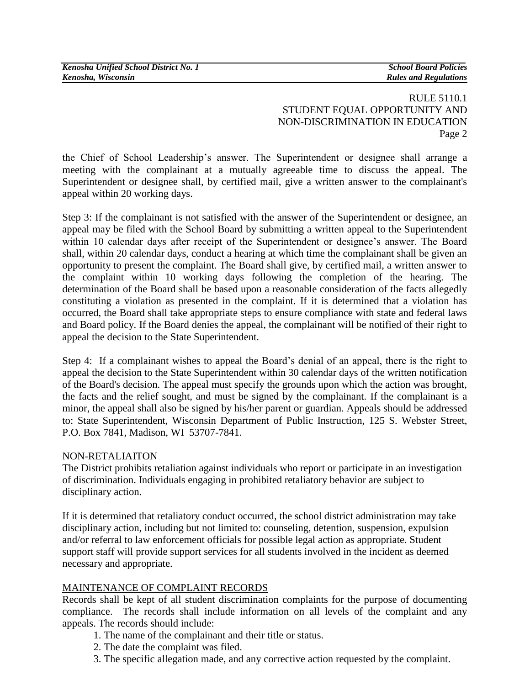## RULE 5110.1 STUDENT EQUAL OPPORTUNITY AND NON-DISCRIMINATION IN EDUCATION Page 2

the Chief of School Leadership's answer. The Superintendent or designee shall arrange a meeting with the complainant at a mutually agreeable time to discuss the appeal. The Superintendent or designee shall, by certified mail, give a written answer to the complainant's appeal within 20 working days.

Step 3: If the complainant is not satisfied with the answer of the Superintendent or designee, an appeal may be filed with the School Board by submitting a written appeal to the Superintendent within 10 calendar days after receipt of the Superintendent or designee's answer. The Board shall, within 20 calendar days, conduct a hearing at which time the complainant shall be given an opportunity to present the complaint. The Board shall give, by certified mail, a written answer to the complaint within 10 working days following the completion of the hearing. The determination of the Board shall be based upon a reasonable consideration of the facts allegedly constituting a violation as presented in the complaint. If it is determined that a violation has occurred, the Board shall take appropriate steps to ensure compliance with state and federal laws and Board policy. If the Board denies the appeal, the complainant will be notified of their right to appeal the decision to the State Superintendent.

Step 4: If a complainant wishes to appeal the Board's denial of an appeal, there is the right to appeal the decision to the State Superintendent within 30 calendar days of the written notification of the Board's decision. The appeal must specify the grounds upon which the action was brought, the facts and the relief sought, and must be signed by the complainant. If the complainant is a minor, the appeal shall also be signed by his/her parent or guardian. Appeals should be addressed to: State Superintendent, Wisconsin Department of Public Instruction, 125 S. Webster Street, P.O. Box 7841, Madison, WI 53707-7841.

## NON-RETALIAITON

The District prohibits retaliation against individuals who report or participate in an investigation of discrimination. Individuals engaging in prohibited retaliatory behavior are subject to disciplinary action.

If it is determined that retaliatory conduct occurred, the school district administration may take disciplinary action, including but not limited to: counseling, detention, suspension, expulsion and/or referral to law enforcement officials for possible legal action as appropriate. Student support staff will provide support services for all students involved in the incident as deemed necessary and appropriate.

# MAINTENANCE OF COMPLAINT RECORDS

Records shall be kept of all student discrimination complaints for the purpose of documenting compliance. The records shall include information on all levels of the complaint and any appeals. The records should include:

- 1. The name of the complainant and their title or status.
- 2. The date the complaint was filed.
- 3. The specific allegation made, and any corrective action requested by the complaint.